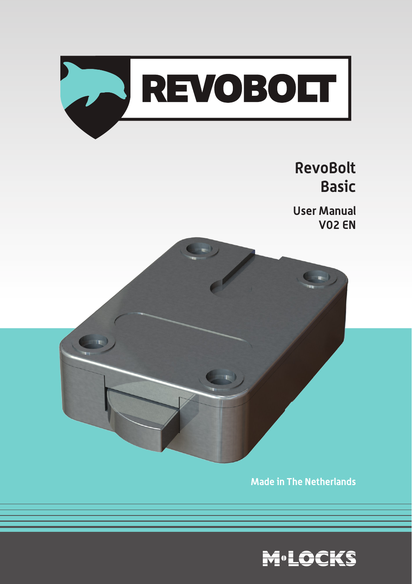

**Made in The Netherlands**

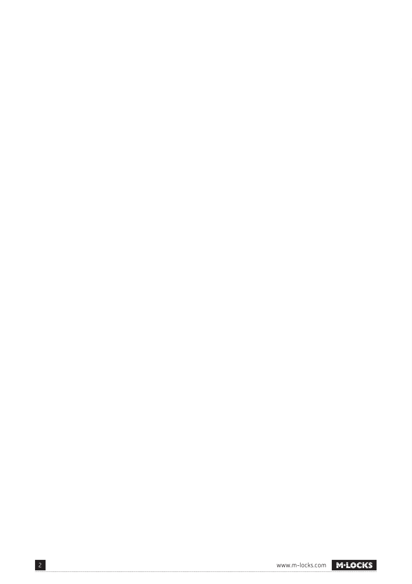

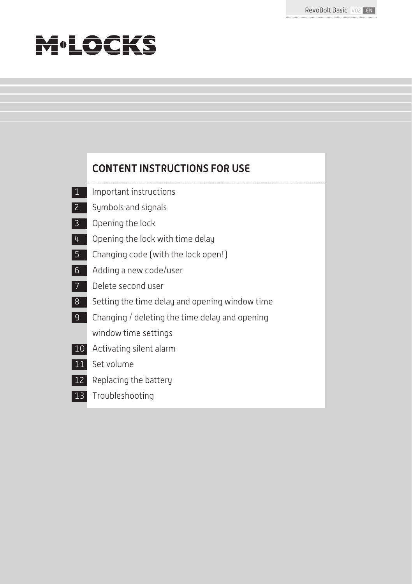# **M**<sup>.</sup>LOCKS

### **CONTENT INSTRUCTIONS FOR USE**

- 1 Important instructions
- **2** Symbols and signals
- **3** Opening the lock
- **4** Opening the lock with time delay
- **5** Changing code (with the lock open!)
- 6 Adding a new code/user
- **7** Delete second user
- 8 Setting the time delay and opening window time
- **9** Changing / deleting the time delay and opening window time settings
- 10 Activating silent alarm
- 11 Set volume
- 12 Replacing the battery
- 13 Troubleshooting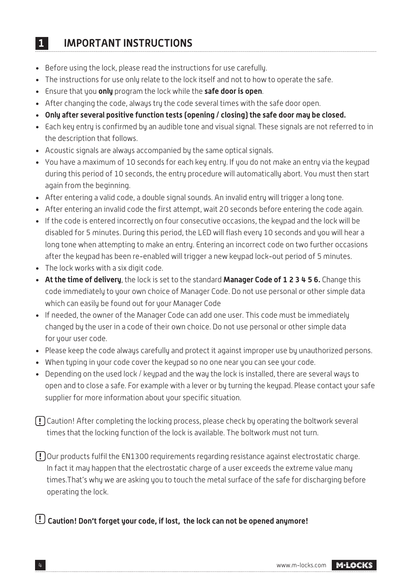### **1 IMPORTANT INSTRUCTIONS**

- Before using the lock, please read the instructions for use carefully.
- The instructions for use only relate to the lock itself and not to how to operate the safe.
- Ensure that you **only** program the lock while the **safe door is open**.
- After changing the code, always try the code several times with the safe door open.
- **Only after several positive function tests (opening / closing) the safe door may be closed.**
- Each key entry is confirmed by an audible tone and visual signal. These signals are not referred to in the description that follows.
- Acoustic signals are always accompanied by the same optical signals.
- You have a maximum of 10 seconds for each key entry. If you do not make an entry via the keypad during this period of 10 seconds, the entry procedure will automatically abort. You must then start again from the beginning.
- After entering a valid code, a double signal sounds. An invalid entry will trigger a long tone.
- After entering an invalid code the first attempt, wait 20 seconds before entering the code again.
- If the code is entered incorrectly on four consecutive occasions, the keypad and the lock will be disabled for 5 minutes. During this period, the LED will flash every 10 seconds and you will hear a long tone when attempting to make an entry. Entering an incorrect code on two further occasions after the keypad has been re-enabled will trigger a new keypad lock-out period of 5 minutes.
- The lock works with a six digit code.
- • **At the time of delivery**, the lock is set to the standard **Manager Code of 1 2 3 4 5 6.** Change this code immediately to your own choice of Manager Code. Do not use personal or other simple data which can easily be found out for your Manager Code
- If needed, the owner of the Manager Code can add one user. This code must be immediately changed by the user in a code of their own choice. Do not use personal or other simple data for your user code.
- Please keep the code always carefully and protect it against improper use by unauthorized persons.
- When typing in your code cover the keypad so no one near you can see your code.
- Depending on the used lock / keypad and the way the lock is installed, there are several ways to open and to close a safe. For example with a lever or by turning the keypad. Please contact your safe supplier for more information about your specific situation.

**!** Caution! After completing the locking process, please check by operating the boltwork several times that the locking function of the lock is available. The boltwork must not turn.

 Our products fulfil the EN1300 requirements regarding resistance against electrostatic charge. **!** In fact it may happen that the electrostatic charge of a user exceeds the extreme value many times.That's why we are asking you to touch the metal surface of the safe for discharging before operating the lock.

**! Caution! Don't forget your code, if lost, the lock can not be opened anymore!**

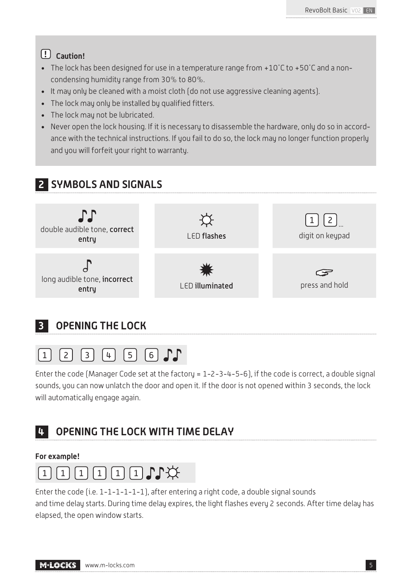#### **! Caution!**

- The lock has been designed for use in a temperature range from +10˚C to +50˚C and a noncondensing humidity range from 30% to 80%.
- It may only be cleaned with a moist cloth (do not use aggressive cleaning agents).
- The lock may only be installed by qualified fitters.
- The lock may not be lubricated.
- Never open the lock housing. If it is necessary to disassemble the hardware, only do so in accordance with the technical instructions. If you fail to do so, the lock may no longer function properly and you will forfeit your right to warranty.

### **2 SYMBOLS AND SIGNALS**



### **3 OPENING THE LOCK**



Enter the code (Manager Code set at the factory = 1-2-3-4-5-6), if the code is correct, a double signal sounds, you can now unlatch the door and open it. If the door is not opened within 3 seconds, the lock will automatically engage again.

### **4 OPENING THE LOCK WITH TIME DELAY**

#### **For example!**



Enter the code (i.e. 1-1-1-1-1-1), after entering a right code, a double signal sounds and time delay starts. During time delay expires, the light flashes every 2 seconds. After time delay has elapsed, the open window starts.

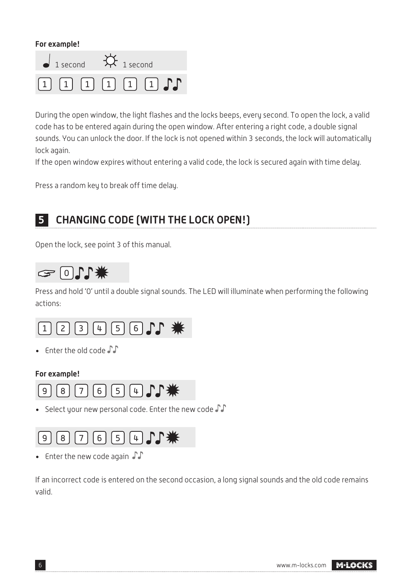#### **For example!**



During the open window, the light flashes and the locks beeps, every second. To open the lock, a valid code has to be entered again during the open window. After entering a right code, a double signal sounds. You can unlock the door. If the lock is not opened within 3 seconds, the lock will automatically lock again.

If the open window expires without entering a valid code, the lock is secured again with time delay.

Press a random key to break off time delay.

### **5 CHANGING CODE (WITH THE LOCK OPEN!)**

Open the lock, see point 3 of this manual.

### $\text{CDL}$ \*

Press and hold '0' until a double signal sounds. The LED will illuminate when performing the following actions:



• Enter the old code  $\Gamma\Gamma$ 

#### **For example!**



• Select your new personal code. Enter the new code  $\Gamma\Gamma$ 



• Enter the new code again  $\mathcal{J}\mathcal{J}$ 

If an incorrect code is entered on the second occasion, a long signal sounds and the old code remains valid.

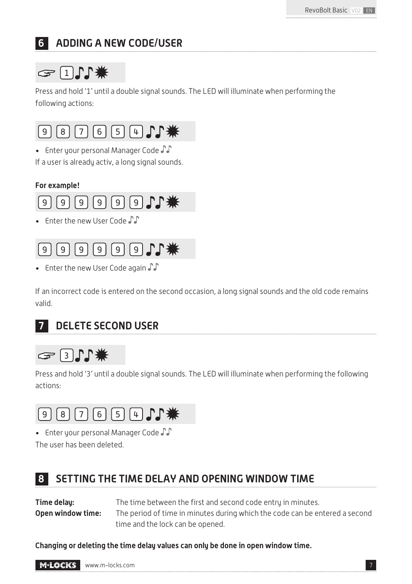

### $G$ <sup>1</sup>

Press and hold '1' until a double signal sounds. The LED will illuminate when performing the following actions:



• Enter your personal Manager Code  $\Gamma$ If a user is already activ, a long signal sounds.

**For example!**



• Enter the new User Code  $\Gamma\Gamma$ 



• Enter the new User Code again  $\Gamma\Gamma$ 

If an incorrect code is entered on the second occasion, a long signal sounds and the old code remains valid.



### $311$ \*

Press and hold '3' until a double signal sounds. The LED will illuminate when performing the following actions:



• Enter your personal Manager Code  $\Gamma\Gamma$ The user has been deleted.

### **8 SETTING THE TIME DELAY AND OPENING WINDOW TIME**

**Time delay:** The time between the first and second code entry in minutes. **Open window time:** The period of time in minutes during which the code can be entered a second time and the lock can be opened.

**Changing or deleting the time delay values can only be done in open window time.**

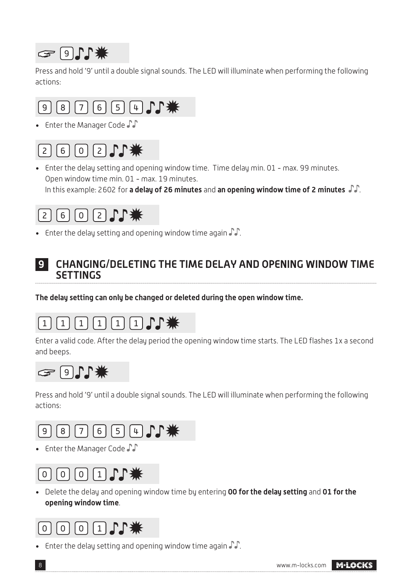### $\epsilon$  911\*

Press and hold '9' until a double signal sounds. The LED will illuminate when performing the following actions:



• Enter the Manager Code  $\Gamma\Gamma$ 

### $26021$

• Enter the delay setting and opening window time. Time delay min. 01 - max. 99 minutes. Open window time min. 01 - max. 19 minutes. In this example: 2602 for **a delay of 26 minutes** and **an opening window time of 2 minutes**  $\int P$ .



• Enter the delay setting and opening window time again  $\mathbb{F}\mathbb{F}$ .

### **9 CHANGING/DELETING THE TIME DELAY AND OPENING WINDOW TIME SETTINGS**

**The delay setting can only be changed or deleted during the open window time.**



Enter a valid code. After the delay period the opening window time starts. The LED flashes 1x a second and beeps.



Press and hold '9' until a double signal sounds. The LED will illuminate when performing the following actions:



• Enter the Manager Code  $\Gamma\Gamma$ 



• Delete the delay and opening window time by entering **00 for the delay setting** and **01 for the opening window time**.



• Enter the delay setting and opening window time again  $\Gamma\Gamma$ .

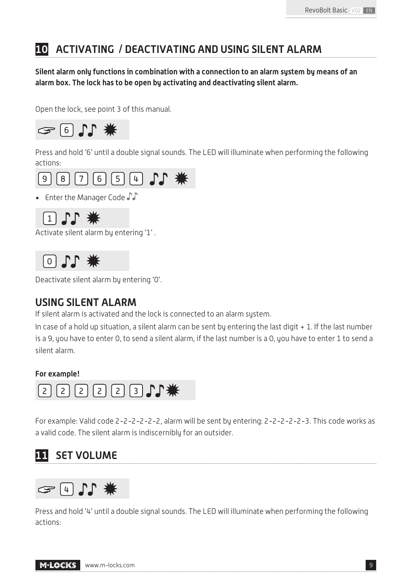### **10 ACTIVATING / DEACTIVATING AND USING SILENT ALARM**

**Silent alarm only functions in combination with a connection to an alarm system by means of an alarm box. The lock has to be open by activating and deactivating silent alarm.**

Open the lock, see point 3 of this manual.



Press and hold '6' until a double signal sounds. The LED will illuminate when performing the following actions:



• Enter the Manager Code  $\Gamma\Gamma$ 



Activate silent alarm by entering '1' .



Deactivate silent alarm by entering '0'.

#### **USING SILENT ALARM**

If silent alarm is activated and the lock is connected to an alarm system.

In case of a hold up situation, a silent alarm can be sent by entering the last digit + 1. If the last number is a 9, you have to enter 0, to send a silent alarm, if the last number is a 0, you have to enter 1 to send a silent alarm.

#### **For example!**



For example: Valid code 2-2-2-2-2-2, alarm will be sent by entering: 2-2-2-2-2-3. This code works as a valid code. The silent alarm is indiscernibly for an outsider.

### **11 SET VOLUME**



Press and hold '4' until a double signal sounds. The LED will illuminate when performing the following actions:

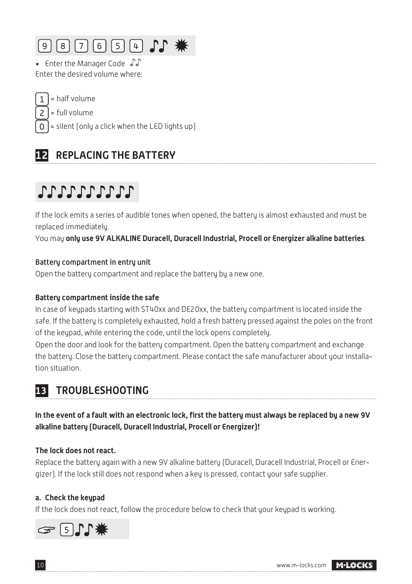

• Enter the Manager Code  $\int \!\!\! \int$ Enter the desired volume where:

 $1 =$  half volume

 $2$  = full volume

= silent (only a click when the LED lights up)



### **12 REPLACING THE BATTERY**

## JJJJJJJJJJJJ

If the lock emits a series of audible tones when opened, the battery is almost exhausted and must be replaced immediately.

You may **only use 9V ALKALINE Duracell, Duracell Industrial, Procell or Energizer alkaline batteries**.

#### Battery compartment in entry unit

Open the battery compartment and replace the battery by a new one.

#### **Battery compartment inside the safe**

In case of keypads starting with ST40xx and DE20xx, the battery compartment is located inside the safe. If the battery is completely exhausted, hold a fresh battery pressed against the poles on the front of the keypad, while entering the code, until the lock opens completely.

Open the door and look for the battery compartment. Open the battery compartment and exchange the battery. Close the battery compartment. Please contact the safe manufacturer about your installation situation.

### **13 TROUBLESHOOTING**

**In the event of a fault with an electronic lock, first the battery must always be replaced by a new 9V alkaline battery (Duracell, Duracell Industrial, Procell or Energizer)!**

#### **The lock does not react.**

Replace the battery again with a new 9V alkaline battery (Duracell, Duracell Industrial, Procell or Energizer). If the lock still does not respond when a key is pressed, contact your safe supplier.

#### **a. Check the keypad**

If the lock does not react, follow the procedure below to check that your keypad is working.



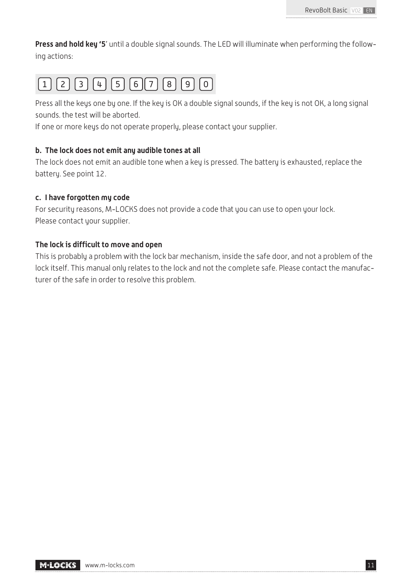**Press and hold key '5**' until a double signal sounds. The LED will illuminate when performing the following actions:



Press all the keys one by one. If the key is OK a double signal sounds, if the key is not OK, a long signal sounds. the test will be aborted.

If one or more keys do not operate properly, please contact your supplier.

#### **b. The lock does not emit any audible tones at all**

The lock does not emit an audible tone when a key is pressed. The battery is exhausted, replace the battery. See point 12.

#### **c. I have forgotten my code**

For security reasons, M-LOCKS does not provide a code that you can use to open your lock. Please contact your supplier.

#### **The lock is difficult to move and open**

This is probably a problem with the lock bar mechanism, inside the safe door, and not a problem of the lock itself. This manual only relates to the lock and not the complete safe. Please contact the manufacturer of the safe in order to resolve this problem.